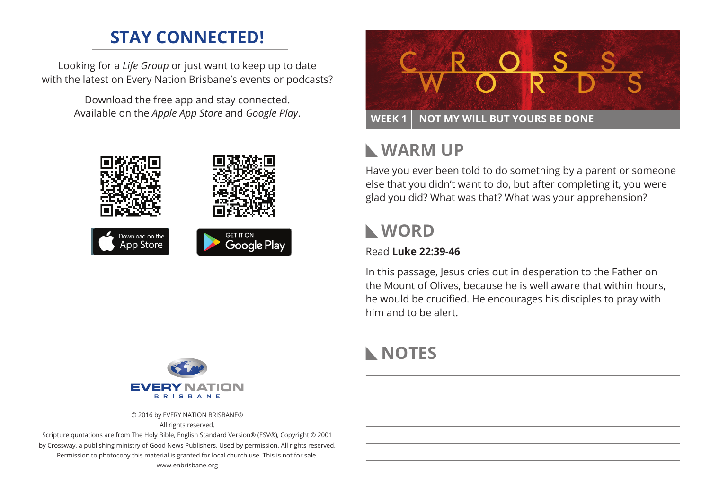# **STAY CONNECTED!**

Looking for a *Life Group* or just want to keep up to date with the latest on Every Nation Brisbane's events or podcasts?

> Download the free app and stay connected. Available on the *Apple App Store* and *Google Play*.





# **Warm Up**

Have you ever been told to do something by a parent or someone else that you didn't want to do, but after completing it, you were glad you did? What was that? What was your apprehension?

# **WORD**

#### Read **Luke 22:39-46**

In this passage, Jesus cries out in desperation to the Father on the Mount of Olives, because he is well aware that within hours, he would be crucified. He encourages his disciples to pray with him and to be alert.

# **NOTES**



© 2016 by EVERY NATION BRISBANE® All rights reserved.

Scripture quotations are from The Holy Bible, English Standard Version® (ESV®), Copyright © 2001 by Crossway, a publishing ministry of Good News Publishers. Used by permission. All rights reserved. Permission to photocopy this material is granted for local church use. This is not for sale. www.enbrisbane.org